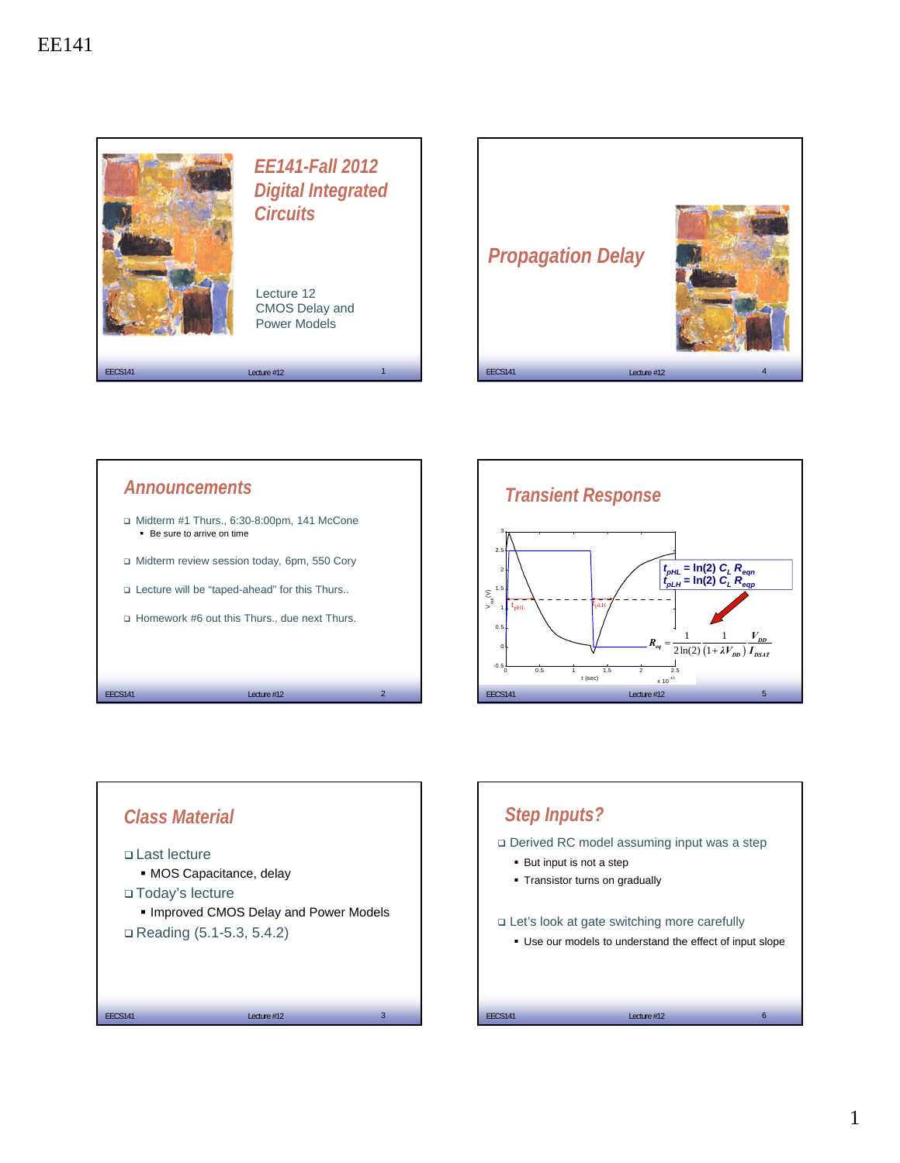









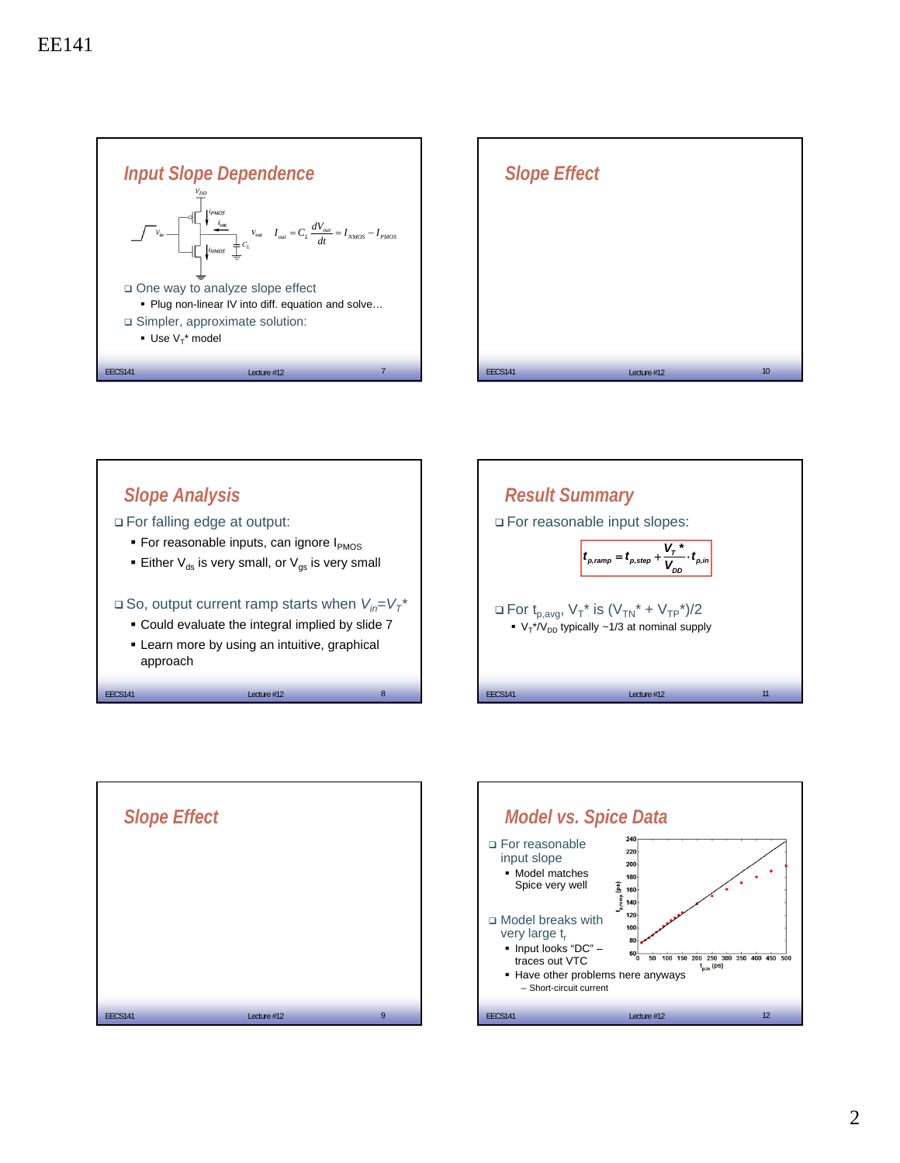









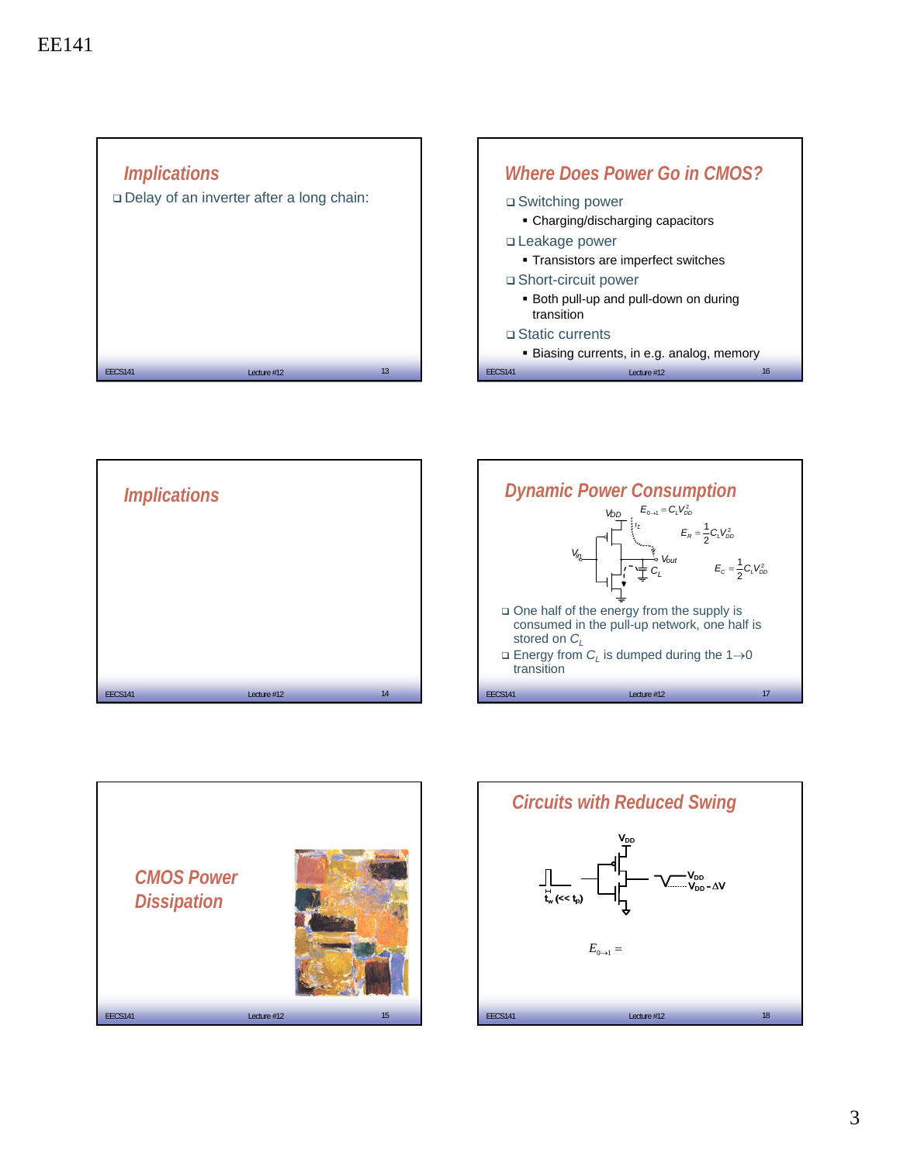







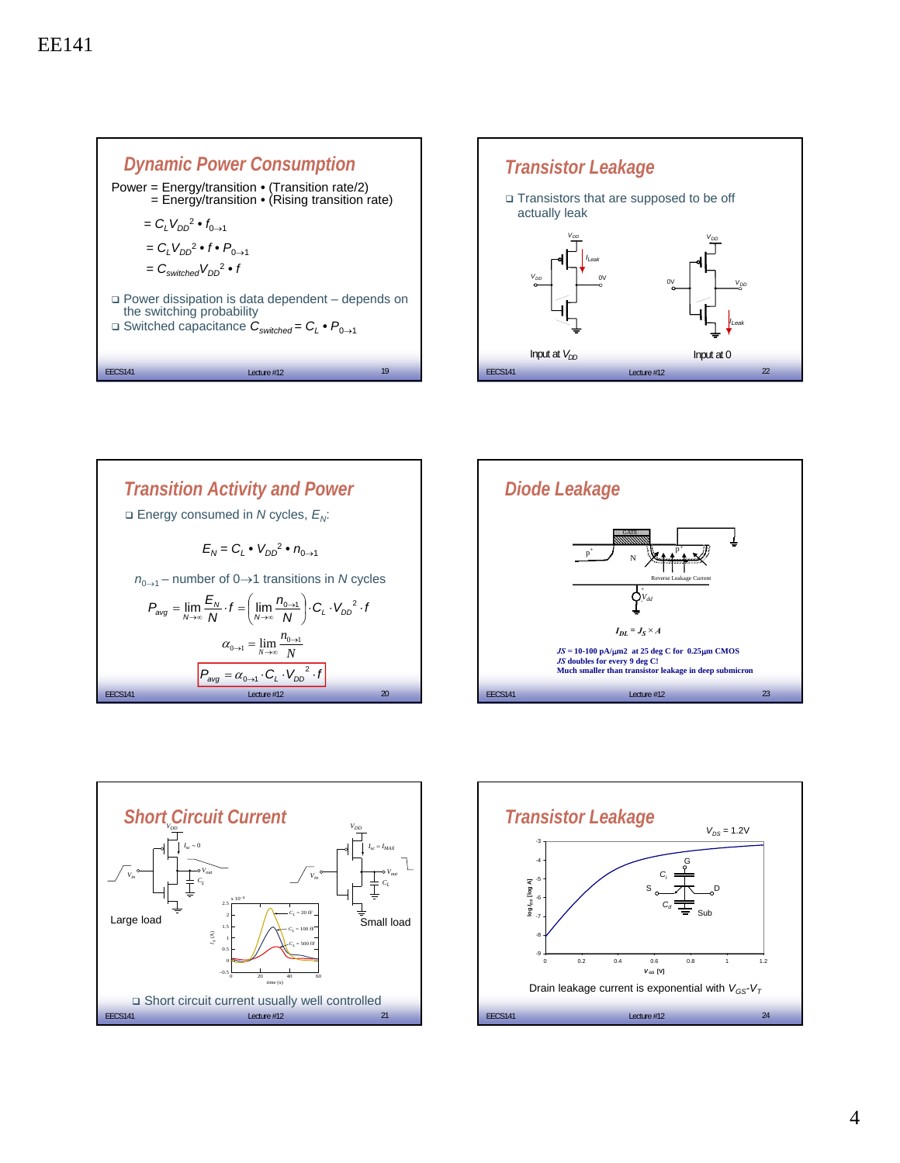